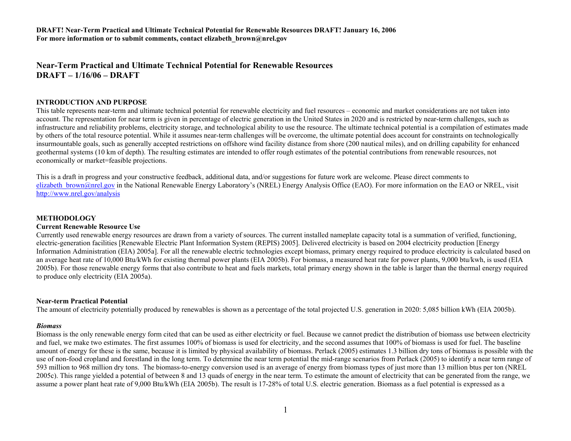**Near-Term Practical and Ultimate Technical Potential for Renewable ResourcesDRAFT – 1/16/06 – DRAFT** 

#### **INTRODUCTION AND PURPOSE**

This table represents near-term and ultimate technical potential for renewable electricity and fuel resources – economic and market considerations are not taken into account. The representation for near term is given in percentage of electric generation in the United States in 2020 and is restricted by near-term challenges, such as infrastructure and reliability problems, electricity storage, and technological ability to use the resource. The ultimate technical potential is a compilation of estimates made by others of the total resource potential. While it assumes near-term challenges will be overcome, the ultimate potential does account for constraints on technologically insurmountable goals, such as generally accepted restrictions on offshore wind facility distance from shore (200 nautical miles), and on drilling capability for enhanced geothermal systems (10 km of depth). The resulting estimates are intended to offer rough estimates of the potential contributions from renewable resources, not economically or market=feasible projections.

This is a draft in progress and your constructive feedback, additional data, and/or suggestions for future work are welcome. Please direct comments to elizabeth brown@nrel.gov in the National Renewable Energy Laboratory's (NREL) Energy Analysis Office (EAO). For more information on the EAO or NREL, visit <http://www.nrel.gov/analysis>

#### **METHODOLOGY**

#### **Current Renewable Resource Use**

Currently used renewable energy resources are drawn from a variety of sources. The current installed nameplate capacity total is a summation of verified, functioning, electric-generation facilities [Renewable Electric Plant Information System (REPIS) 2005]. Delivered electricity is based on 2004 electricity production [Energy Information Administration (EIA) 2005a]. For all the renewable electric technologies except biomass, primary energy required to produce electricity is calculated based on an average heat rate of 10,000 Btu/kWh for existing thermal power plants (EIA 2005b). For biomass, a measured heat rate for power plants, 9,000 btu/kwh, is used (EIA 2005b). For those renewable energy forms that also contribute to heat and fuels markets, total primary energy shown in the table is larger than the thermal energy required to produce only electricity (EIA 2005a).

#### **Near-term Practical Potential**

The amount of electricity potentially produced by renewables is shown as a percentage of the total projected U.S. generation in 2020: 5,085 billion kWh (EIA 2005b).

#### *Biomass*

Biomass is the only renewable energy form cited that can be used as either electricity or fuel. Because we cannot predict the distribution of biomass use between electricity and fuel, we make two estimates. The first assumes 100% of biomass is used for electricity, and the second assumes that 100% of biomass is used for fuel. The baseline amount of energy for these is the same, because it is limited by physical availability of biomass. Perlack (2005) estimates 1.3 billion dry tons of biomass is possible with the use of non-food cropland and forestland in the long term. To determine the near term potential the mid-range scenarios from Perlack (2005) to identify a near term range of 593 million to 968 million dry tons. The biomass-to-energy conversion used is an average of energy from biomass types of just more than 13 million btus per ton (NREL 2005c). This range yielded a potential of between 8 and 13 quads of energy in the near term. To estimate the amount of electricity that can be generated from the range, we assume a power plant heat rate of 9,000 Btu/kWh (EIA 2005b). The result is 17-28% of total U.S. electric generation. Biomass as a fuel potential is expressed as a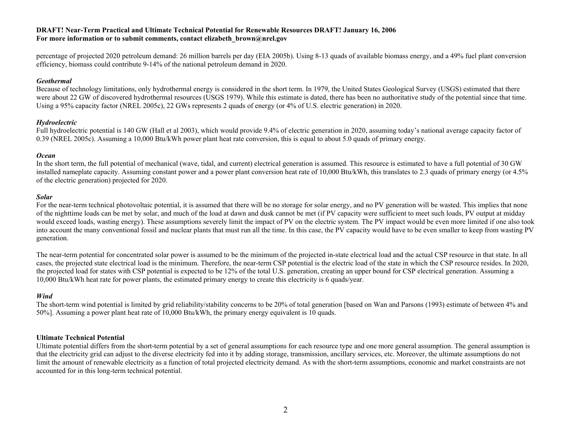percentage of projected 2020 petroleum demand: 26 million barrels per day (EIA 2005b). Using 8-13 quads of available biomass energy, and a 49% fuel plant conversion efficiency, biomass could contribute 9-14% of the national petroleum demand in 2020.

### *Geothermal*

Because of technology limitations, only hydrothermal energy is considered in the short term. In 1979, the United States Geological Survey (USGS) estimated that there were about 22 GW of discovered hydrothermal resources (USGS 1979). While this estimate is dated, there has been no authoritative study of the potential since that time. Using a 95% capacity factor (NREL 2005c), 22 GWs represents 2 quads of energy (or 4% of U.S. electric generation) in 2020.

### *Hydroelectric*

Full hydroelectric potential is 140 GW (Hall et al 2003), which would provide 9.4% of electric generation in 2020, assuming today's national average capacity factor of 0.39 (NREL 2005c). Assuming a 10,000 Btu/kWh power plant heat rate conversion, this is equal to about 5.0 quads of primary energy.

### *Ocean*

In the short term, the full potential of mechanical (wave, tidal, and current) electrical generation is assumed. This resource is estimated to have a full potential of 30 GW installed nameplate capacity. Assuming constant power and a power plant conversion heat rate of 10,000 Btu/kWh, this translates to 2.3 quads of primary energy (or 4.5% of the electric generation) projected for 2020.

#### *Solar*

For the near-term technical photovoltaic potential, it is assumed that there will be no storage for solar energy, and no PV generation will be wasted. This implies that none of the nighttime loads can be met by solar, and much of the load at dawn and dusk cannot be met (if PV capacity were sufficient to meet such loads, PV output at midday would exceed loads, wasting energy). These assumptions severely limit the impact of PV on the electric system. The PV impact would be even more limited if one also took into account the many conventional fossil and nuclear plants that must run all the time. In this case, the PV capacity would have to be even smaller to keep from wasting PV generation.

The near-term potential for concentrated solar power is assumed to be the minimum of the projected in-state electrical load and the actual CSP resource in that state. In all cases, the projected state electrical load is the minimum. Therefore, the near-term CSP potential is the electric load of the state in which the CSP resource resides. In 2020, the projected load for states with CSP potential is expected to be 12% of the total U.S. generation, creating an upper bound for CSP electrical generation. Assuming a 10,000 Btu/kWh heat rate for power plants, the estimated primary energy to create this electricity is 6 quads/year.

# *Wind*

The short-term wind potential is limited by grid reliability/stability concerns to be 20% of total generation [based on Wan and Parsons (1993) estimate of between 4% and 50%]. Assuming a power plant heat rate of 10,000 Btu/kWh, the primary energy equivalent is 10 quads.

#### **Ultimate Technical Potential**

Ultimate potential differs from the short-term potential by a set of general assumptions for each resource type and one more general assumption. The general assumption is that the electricity grid can adjust to the diverse electricity fed into it by adding storage, transmission, ancillary services, etc. Moreover, the ultimate assumptions do not limit the amount of renewable electricity as a function of total projected electricity demand. As with the short-term assumptions, economic and market constraints are not accounted for in this long-term technical potential.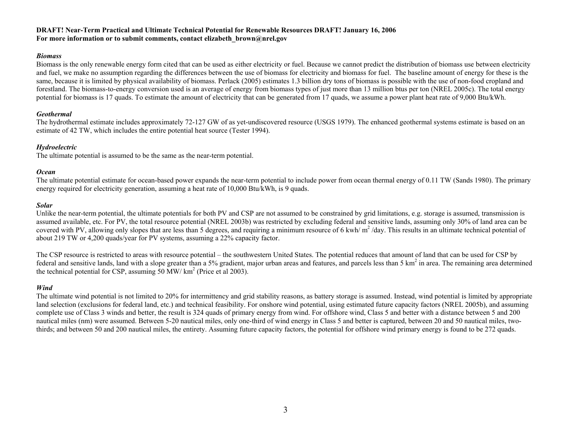### *Biomass*

Biomass is the only renewable energy form cited that can be used as either electricity or fuel. Because we cannot predict the distribution of biomass use between electricity and fuel, we make no assumption regarding the differences between the use of biomass for electricity and biomass for fuel. The baseline amount of energy for these is the same, because it is limited by physical availability of biomass. Perlack (2005) estimates 1.3 billion dry tons of biomass is possible with the use of non-food cropland and forestland. The biomass-to-energy conversion used is an average of energy from biomass types of just more than 13 million btus per ton (NREL 2005c). The total energy potential for biomass is 17 quads. To estimate the amount of electricity that can be generated from 17 quads, we assume a power plant heat rate of 9,000 Btu/kWh.

### *Geothermal*

The hydrothermal estimate includes approximately 72-127 GW of as yet-undiscovered resource (USGS 1979). The enhanced geothermal systems estimate is based on an estimate of 42 TW, which includes the entire potential heat source (Tester 1994).

# *Hydroelectric*

The ultimate potential is assumed to be the same as the near-term potential.

# *Ocean*

The ultimate potential estimate for ocean-based power expands the near-term potential to include power from ocean thermal energy of 0.11 TW (Sands 1980). The primary energy required for electricity generation, assuming a heat rate of 10,000 Btu/kWh, is 9 quads.

# *Solar*

Unlike the near-term potential, the ultimate potentials for both PV and CSP are not assumed to be constrained by grid limitations, e.g. storage is assumed, transmission is assumed available, etc. For PV, the total resource potential (NREL 2003b) was restricted by excluding federal and sensitive lands, assuming only 30% of land area can be covered with PV, allowing only slopes that are less than 5 degrees, and requiring a minimum resource of 6 kwh/ $m^2$ /day. This results in an ultimate technical potential of about 219 TW or 4,200 quads/year for PV systems, assuming a 22% capacity factor.

The CSP resource is restricted to areas with resource potential – the southwestern United States. The potential reduces that amount of land that can be used for CSP by federal and sensitive lands, land with a slope greater than a 5% gradient, major urban areas and features, and parcels less than 5 km<sup>2</sup> in area. The remaining area determined the technical potential for CSP, assuming 50 MW/  $km^2$  (Price et al 2003).

# *Wind*

The ultimate wind potential is not limited to 20% for intermittency and grid stability reasons, as battery storage is assumed. Instead, wind potential is limited by appropriate land selection (exclusions for federal land, etc.) and technical feasibility. For onshore wind potential, using estimated future capacity factors (NREL 2005b), and assuming complete use of Class 3 winds and better, the result is 324 quads of primary energy from wind. For offshore wind, Class 5 and better with a distance between 5 and 200 nautical miles (nm) were assumed. Between 5-20 nautical miles, only one-third of wind energy in Class 5 and better is captured, between 20 and 50 nautical miles, twothirds; and between 50 and 200 nautical miles, the entirety. Assuming future capacity factors, the potential for offshore wind primary energy is found to be 272 quads.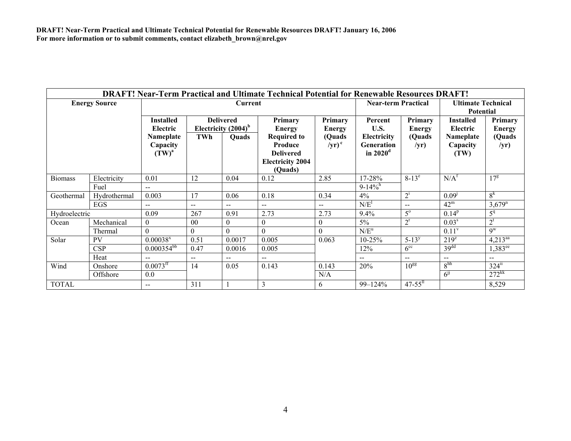| DRAFT! Near-Term Practical and Ultimate Technical Potential for Renewable Resources DRAFT! |              |                                   |                                            |                  |                                                                                         |                    |                                                            |                          |                                               |                             |
|--------------------------------------------------------------------------------------------|--------------|-----------------------------------|--------------------------------------------|------------------|-----------------------------------------------------------------------------------------|--------------------|------------------------------------------------------------|--------------------------|-----------------------------------------------|-----------------------------|
| <b>Energy Source</b>                                                                       |              | <b>Current</b>                    |                                            |                  |                                                                                         |                    | <b>Near-term Practical</b>                                 |                          | <b>Ultimate Technical</b><br><b>Potential</b> |                             |
|                                                                                            |              | <b>Installed</b><br>Electric      | <b>Delivered</b><br>Electricity $(2004)^b$ |                  | Primary<br><b>Energy</b>                                                                | Primary<br>Energy  | Percent<br>U.S.                                            | Primary<br><b>Energy</b> | <b>Installed</b><br>Electric                  | Primary<br><b>Energy</b>    |
|                                                                                            |              | Nameplate<br>Capacity<br>$(TW)^a$ | TWh                                        | <b>Ouads</b>     | <b>Required to</b><br>Produce<br><b>Delivered</b><br><b>Electricity 2004</b><br>(Quads) | (Quads<br>$/yr)^c$ | Electricity<br><b>Generation</b><br>in $2020$ <sup>d</sup> | (Quads<br>/yr)           | Nameplate<br>Capacity<br>(TW)                 | (Quads<br>/yr)              |
| <b>Biomass</b>                                                                             | Electricity  | 0.01                              | 12                                         | 0.04             | 0.12                                                                                    | 2.85               | 17-28%                                                     | $8-13^e$                 | N/A <sup>f</sup>                              | $17^g$                      |
|                                                                                            | Fuel         | $-$                               |                                            |                  |                                                                                         |                    | $9-14\%$ <sup>h</sup>                                      |                          |                                               |                             |
| Geothermal                                                                                 | Hydrothermal | 0.003                             | 17                                         | 0.06             | 0.18                                                                                    | 0.34               | 4%                                                         | $2^{1}$                  | 0.09 <sup>j</sup>                             | 8 <sup>k</sup>              |
|                                                                                            | EGS          | $-$                               | $- -$                                      | $-$              | $-$                                                                                     | $-$                | N/E <sup>1</sup>                                           | $- -$                    | $42^{\rm m}$                                  | $3,679$ <sup>n</sup>        |
| Hydroelectric                                                                              |              | 0.09                              | 267                                        | 0.91             | 2.73                                                                                    | 2.73               | 9.4%                                                       | $5^{\circ}$              | $0.14^{p}$                                    | $\overline{5}$ <sup>q</sup> |
| Ocean                                                                                      | Mechanical   | $\theta$                          | 00                                         | $\boldsymbol{0}$ | $\overline{0}$                                                                          | $\theta$           | $5\%$                                                      | $2^r$                    | 0.03 <sup>s</sup>                             | $2^t$                       |
|                                                                                            | Thermal      | $\Omega$                          | 0                                          | $\Omega$         | $\theta$                                                                                |                    | $N/E^u$                                                    |                          | $0.11^v$                                      | $\mathbf{Q}^{\mathrm{W}}$   |
| Solar                                                                                      | <b>PV</b>    | $0.00038$ <sup>x</sup>            | 0.51                                       | 0.0017           | 0.005                                                                                   | 0.063              | $10 - 25%$                                                 | $5 - 13^{y}$             | $219^z$                                       | $4,213^{aa}$                |
|                                                                                            | <b>CSP</b>   | $0.000354^{b}$                    | 0.47                                       | 0.0016           | 0.005                                                                                   |                    | 12%                                                        | 6 <sup>cc</sup>          | 39 <sup>dd</sup>                              | $1,383^{\text{ee}}$         |
|                                                                                            | Heat         | $-$                               | $- -$                                      | $- -$            | $\overline{\phantom{a}}$                                                                |                    | $\sim$ $\sim$                                              | $-$                      | $\mathbf{u}$                                  | $\sim$ $-$                  |
| Wind                                                                                       | Onshore      | $0.0073$ <sup>ff</sup>            | 14                                         | 0.05             | 0.143                                                                                   | 0.143              | 20%                                                        | $10^{gg}$                | 8 <sup>hh</sup>                               | $324$ <sup>ii</sup>         |
|                                                                                            | Offshore     | 0.0                               |                                            |                  |                                                                                         | N/A                |                                                            |                          | $6^{11}$                                      | $272$ <sup>kk</sup>         |
| <b>TOTAL</b>                                                                               |              | $-$                               | 311                                        |                  | $\mathfrak{Z}$                                                                          | 6                  | 99-124%                                                    | $47 - 55$ <sup>ll</sup>  |                                               | 8,529                       |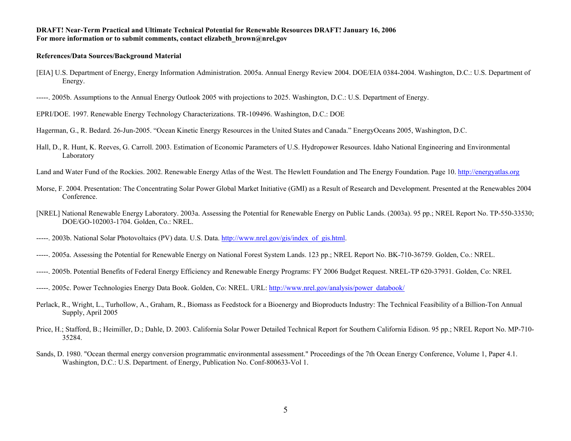#### **References/Data Sources/Background Material**

[EIA] U.S. Department of Energy, Energy Information Administration. 2005a. Annual Energy Review 2004. DOE/EIA 0384-2004. Washington, D.C.: U.S. Department of Energy.

-----. 2005b. Assumptions to the Annual Energy Outlook 2005 with projections to 2025. Washington, D.C.: U.S. Department of Energy.



Hagerman, G., R. Bedard. 26-Jun-2005. "Ocean Kinetic Energy Resources in the United States and Canada." EnergyOceans 2005, Washington, D.C.

Hall, D., R. Hunt, K. Reeves, G. Carroll. 2003. Estimation of Economic Parameters of U.S. Hydropower Resources. Idaho National Engineering and Environmental Laboratory

Land and Water Fund of the Rockies. 2002. Renewable Energy Atlas of the West. The Hewlett Foundation and The Energy Foundation. Page 10. [http://energyatlas.org](http://energyatlas.org/)

- Morse, F. 2004. Presentation: The Concentrating Solar Power Global Market Initiative (GMI) as a Result of Research and Development. Presented at the Renewables 2004 Conference.
- [NREL] National Renewable Energy Laboratory. 2003a. Assessing the Potential for Renewable Energy on Public Lands. (2003a). 95 pp.; NREL Report No. TP-550-33530; DOE/GO-102003-1704. Golden, Co.: NREL.
- -----. 2003b. National Solar Photovoltaics (PV) data. U.S. Data. [http://www.nrel.gov/gis/index\\_of\\_gis.html](http://www.nrel.gov/gis/index_of_gis.html).
- ----- . 2005a. Assessing the Potential for Renewable Energy on National Forest System Lands. 123 pp.; NREL Report No. BK-710-36759. Golden, Co.: NREL.
- -----. 2005b. Potential Benefits of Federal Energy Efficiency and Renewable Energy Programs: FY 2006 Budget Request. NREL-TP 620-37931. Golden, Co: NREL
- -----. 2005c. Power Technologies Energy Data Book. Golden, Co: NREL. URL: [http://www.nrel.gov/analysis/power\\_databook/](http://www.nrel.gov/analysis/power_databook/)
- Perlack, R., Wright, L., Turhollow, A., Graham, R., Biomass as Feedstock for a Bioenergy and Bioproducts Industry: The Technical Feasibility of a Billion-Ton Annual Supply, April 2005
- Price, H.; Stafford, B.; Heimiller, D.; Dahle, D. 2003. California Solar Power Detailed Technical Report for Southern California Edison. 95 pp.; NREL Report No. MP-710- 35284.
- Sands, D. 1980. "Ocean thermal energy conversion programmatic environmental assessment." Proceedings of the 7th Ocean Energy Conference, Volume 1, Paper 4.1. Washington, D.C.: U.S. Department. of Energy, Publication No. Conf-800633-Vol 1.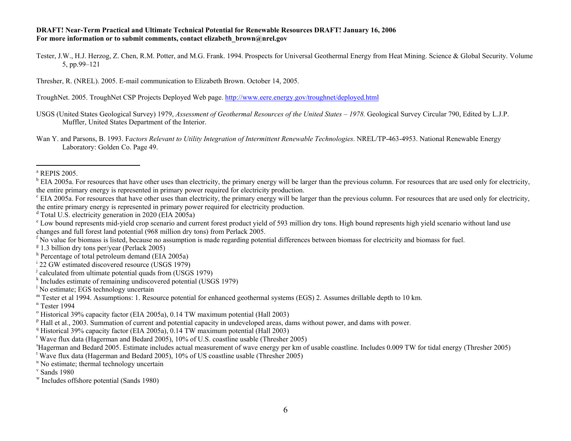Tester, J.W., H.J. Herzog, Z. Chen, R.M. Potter, and M.G. Frank. 1994. Prospects for Universal Geothermal Energy from Heat Mining. Science & Global Security. Volume 5, pp.99–121

Thresher, R. (NREL). 2005. E-mail communication to Elizabeth Brown. October 14, 2005.

TroughNet. 2005. TroughNet CSP Projects Deployed Web page.<http://www.eere.energy.gov/troughnet/deployed.html>

USGS (United States Geological Survey) 1979, *Assessment of Geothermal Resources of the United States – 1978.* Geological Survey Circular 790, Edited by L.J.P. Muffler, United States Department of the Interior.

Wan Y. and Parsons, B. 1993. F*actors Relevant to Utility Integration of Intermittent Renewable Technologies*. NREL/TP-463-4953. National Renewable Energy Laboratory: Golden Co. Page 49.

- <sup>i</sup> 22 GW estimated discovered resource (USGS 1979)
- j calculated from ultimate potential quads from (USGS 1979)
- $k$  Includes estimate of remaining undiscovered potential (USGS 1979)

<sup>n</sup> Tester 1994

a REPIS 2005.

 $b$  EIA 2005a. For resources that have other uses than electricity, the primary energy will be larger than the previous column. For resources that are used only for electricity, the entire primary energy is represented in primary power required for electricity production.

 $\rm{c}$  EIA 2005a. For resources that have other uses than electricity, the primary energy will be larger than the previous column. For resources that are used only for electricity, the entire primary energy is represented in primary power required for electricity production.

 $d$  Total U.S. electricity generation in 2020 (EIA 2005a)

<sup>&</sup>lt;sup>e</sup> Low bound represents mid-yield crop scenario and current forest product yield of 593 million dry tons. High bound represents high yield scenario without land use changes and full forest land potential (968 million dry tons) from Perlack 2005.

<sup>&</sup>lt;sup>f</sup> No value for biomass is listed, because no assumption is made regarding potential differences between biomass for electricity and biomass for fuel.

 $g_{1.3}$  billion dry tons per/year (Perlack 2005)

<sup>&</sup>lt;sup>h</sup> Percentage of total petroleum demand (EIA 2005a)

l No estimate; EGS technology uncertain

 $m$  Tester et al 1994. Assumptions: 1. Resource potential for enhanced geothermal systems (EGS) 2. Assumes drillable depth to 10 km.

<sup>&</sup>lt;sup>o</sup> Historical 39% capacity factor (EIA 2005a), 0.14 TW maximum potential (Hall 2003)

 $p$  Hall et al., 2003. Summation of current and potential capacity in undeveloped areas, dams without power, and dams with power.

<sup>&</sup>lt;sup>q</sup> Historical 39% capacity factor (EIA 2005a), 0.14 TW maximum potential (Hall 2003)

r Wave flux data (Hagerman and Bedard 2005), 10% of U.S. coastline usable (Thresher 2005)

sHagerman and Bedard 2005. Estimate includes actual measurement of wave energy per km of usable coastline. Includes 0.009 TW for tidal energy (Thresher 2005)

<sup>&</sup>lt;sup>t</sup> Wave flux data (Hagerman and Bedard 2005), 10% of US coastline usable (Thresher 2005)

<sup>&</sup>lt;sup>u</sup> No estimate; thermal technology uncertain

 $v$  Sands 1980

w Includes offshore potential (Sands 1980)